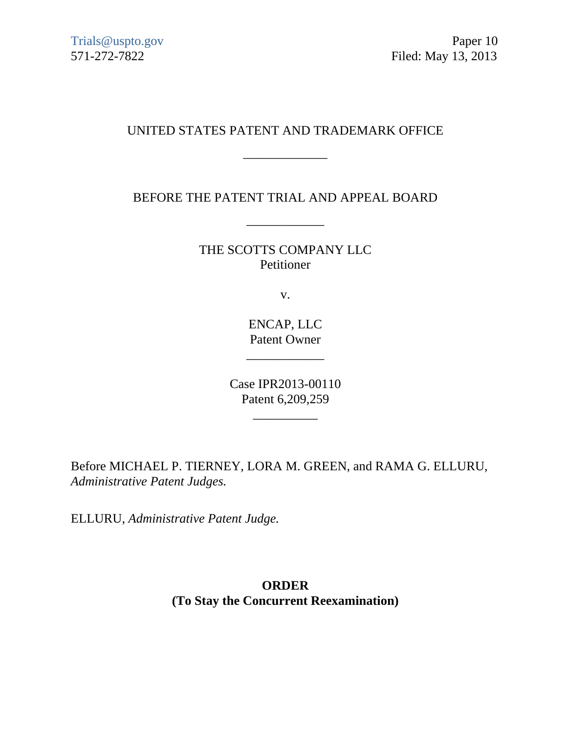## UNITED STATES PATENT AND TRADEMARK OFFICE

\_\_\_\_\_\_\_\_\_\_\_\_\_

## BEFORE THE PATENT TRIAL AND APPEAL BOARD

\_\_\_\_\_\_\_\_\_\_\_\_

THE SCOTTS COMPANY LLC Petitioner

v.

ENCAP, LLC Patent Owner

\_\_\_\_\_\_\_\_\_\_\_\_

Case IPR2013-00110 Patent 6,209,259

\_\_\_\_\_\_\_\_\_\_

Before MICHAEL P. TIERNEY, LORA M. GREEN, and RAMA G. ELLURU, *Administrative Patent Judges.* 

ELLURU, *Administrative Patent Judge.*

## **ORDER (To Stay the Concurrent Reexamination)**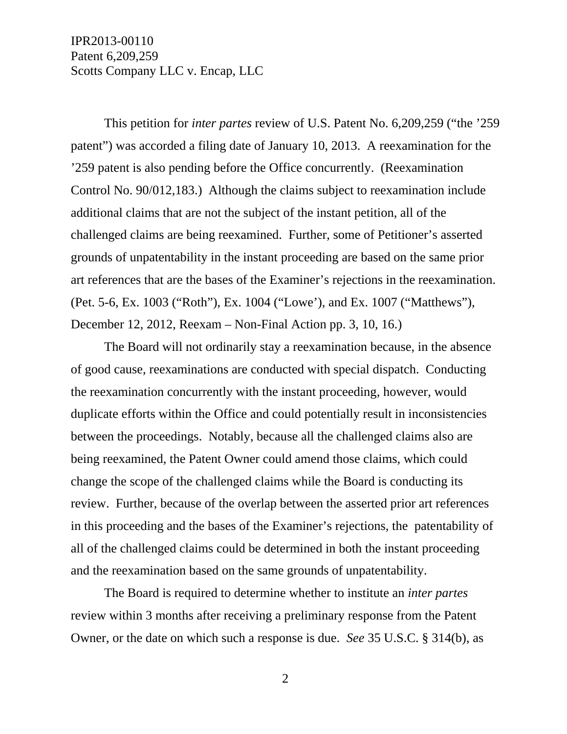IPR2013-00110 Patent 6,209,259 Scotts Company LLC v. Encap, LLC

 This petition for *inter partes* review of U.S. Patent No. 6,209,259 ("the '259 patent") was accorded a filing date of January 10, 2013. A reexamination for the '259 patent is also pending before the Office concurrently. (Reexamination Control No. 90/012,183.) Although the claims subject to reexamination include additional claims that are not the subject of the instant petition, all of the challenged claims are being reexamined. Further, some of Petitioner's asserted grounds of unpatentability in the instant proceeding are based on the same prior art references that are the bases of the Examiner's rejections in the reexamination. (Pet. 5-6, Ex. 1003 ("Roth"), Ex. 1004 ("Lowe'), and Ex. 1007 ("Matthews"), December 12, 2012, Reexam – Non-Final Action pp. 3, 10, 16.)

 The Board will not ordinarily stay a reexamination because, in the absence of good cause, reexaminations are conducted with special dispatch. Conducting the reexamination concurrently with the instant proceeding, however, would duplicate efforts within the Office and could potentially result in inconsistencies between the proceedings. Notably, because all the challenged claims also are being reexamined, the Patent Owner could amend those claims, which could change the scope of the challenged claims while the Board is conducting its review. Further, because of the overlap between the asserted prior art references in this proceeding and the bases of the Examiner's rejections, the patentability of all of the challenged claims could be determined in both the instant proceeding and the reexamination based on the same grounds of unpatentability.

 The Board is required to determine whether to institute an *inter partes* review within 3 months after receiving a preliminary response from the Patent Owner, or the date on which such a response is due. *See* 35 U.S.C. § 314(b), as

2